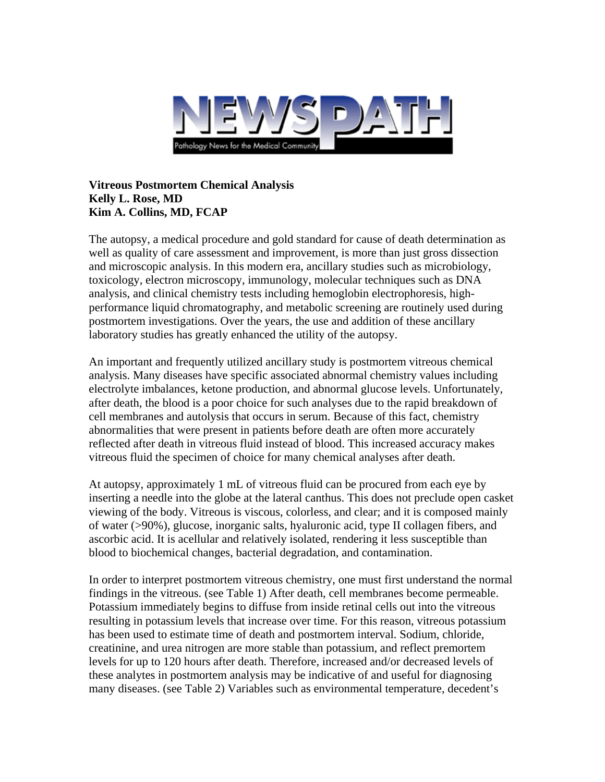

## **Vitreous Postmortem Chemical Analysis Kelly L. Rose, MD Kim A. Collins, MD, FCAP**

The autopsy, a medical procedure and gold standard for cause of death determination as well as quality of care assessment and improvement, is more than just gross dissection and microscopic analysis. In this modern era, ancillary studies such as microbiology, toxicology, electron microscopy, immunology, molecular techniques such as DNA analysis, and clinical chemistry tests including hemoglobin electrophoresis, highperformance liquid chromatography, and metabolic screening are routinely used during postmortem investigations. Over the years, the use and addition of these ancillary laboratory studies has greatly enhanced the utility of the autopsy.

An important and frequently utilized ancillary study is postmortem vitreous chemical analysis. Many diseases have specific associated abnormal chemistry values including electrolyte imbalances, ketone production, and abnormal glucose levels. Unfortunately, after death, the blood is a poor choice for such analyses due to the rapid breakdown of cell membranes and autolysis that occurs in serum. Because of this fact, chemistry abnormalities that were present in patients before death are often more accurately reflected after death in vitreous fluid instead of blood. This increased accuracy makes vitreous fluid the specimen of choice for many chemical analyses after death.

At autopsy, approximately 1 mL of vitreous fluid can be procured from each eye by inserting a needle into the globe at the lateral canthus. This does not preclude open casket viewing of the body. Vitreous is viscous, colorless, and clear; and it is composed mainly of water (>90%), glucose, inorganic salts, hyaluronic acid, type II collagen fibers, and ascorbic acid. It is acellular and relatively isolated, rendering it less susceptible than blood to biochemical changes, bacterial degradation, and contamination.

In order to interpret postmortem vitreous chemistry, one must first understand the normal findings in the vitreous. (see Table 1) After death, cell membranes become permeable. Potassium immediately begins to diffuse from inside retinal cells out into the vitreous resulting in potassium levels that increase over time. For this reason, vitreous potassium has been used to estimate time of death and postmortem interval. Sodium, chloride, creatinine, and urea nitrogen are more stable than potassium, and reflect premortem levels for up to 120 hours after death. Therefore, increased and/or decreased levels of these analytes in postmortem analysis may be indicative of and useful for diagnosing many diseases. (see Table 2) Variables such as environmental temperature, decedent's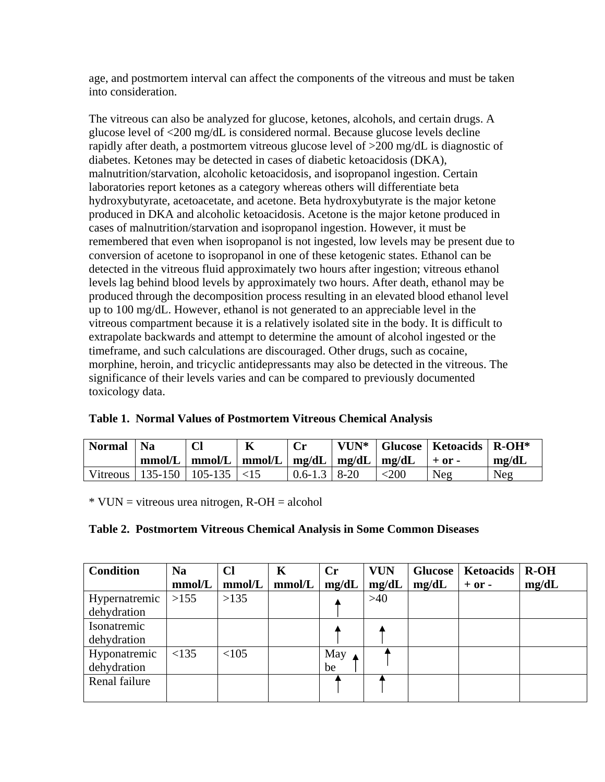age, and postmortem interval can affect the components of the vitreous and must be taken into consideration.

The vitreous can also be analyzed for glucose, ketones, alcohols, and certain drugs. A glucose level of <200 mg/dL is considered normal. Because glucose levels decline rapidly after death, a postmortem vitreous glucose level of >200 mg/dL is diagnostic of diabetes. Ketones may be detected in cases of diabetic ketoacidosis (DKA), malnutrition/starvation, alcoholic ketoacidosis, and isopropanol ingestion. Certain laboratories report ketones as a category whereas others will differentiate beta hydroxybutyrate, acetoacetate, and acetone. Beta hydroxybutyrate is the major ketone produced in DKA and alcoholic ketoacidosis. Acetone is the major ketone produced in cases of malnutrition/starvation and isopropanol ingestion. However, it must be remembered that even when isopropanol is not ingested, low levels may be present due to conversion of acetone to isopropanol in one of these ketogenic states. Ethanol can be detected in the vitreous fluid approximately two hours after ingestion; vitreous ethanol levels lag behind blood levels by approximately two hours. After death, ethanol may be produced through the decomposition process resulting in an elevated blood ethanol level up to 100 mg/dL. However, ethanol is not generated to an appreciable level in the vitreous compartment because it is a relatively isolated site in the body. It is difficult to extrapolate backwards and attempt to determine the amount of alcohol ingested or the timeframe, and such calculations are discouraged. Other drugs, such as cocaine, morphine, heroin, and tricyclic antidepressants may also be detected in the vitreous. The significance of their levels varies and can be compared to previously documented toxicology data.

| <b>Normal</b> | <b>Na</b>           |                                                                   |                    |              | VUN <sup>*</sup>   Glucose   Ketoacids   $R$ -OH <sup>*</sup> |       |
|---------------|---------------------|-------------------------------------------------------------------|--------------------|--------------|---------------------------------------------------------------|-------|
|               |                     | $mmol/L \mid mmol/L \mid mmol/L \mid mg/dL \mid mg/dL \mid mg/dL$ |                    |              | $+$ or $-$                                                    | mg/dL |
| Vitreous      | $135-150$   105-135 | $\leq$ 15                                                         | $0.6 - 1.3$   8-20 | $<$ 200 $\,$ | Neg                                                           | Neg   |

| Table 1. Normal Values of Postmortem Vitreous Chemical Analysis |  |  |  |  |  |  |  |
|-----------------------------------------------------------------|--|--|--|--|--|--|--|
|-----------------------------------------------------------------|--|--|--|--|--|--|--|

\* VUN = vitreous urea nitrogen, R-OH = alcohol

| Table 2. Postmortem Vitreous Chemical Analysis in Some Common Diseases |
|------------------------------------------------------------------------|
|------------------------------------------------------------------------|

| <b>Condition</b> | <b>Na</b> | Cl     | K      | Cr    | <b>VUN</b> | <b>Glucose</b> | <b>Ketoacids</b> | $R-OH$ |
|------------------|-----------|--------|--------|-------|------------|----------------|------------------|--------|
|                  | mmol/L    | mmol/L | mmol/L | mg/dL | mg/dL      | mg/dL          | $+$ or $-$       | mg/dL  |
| Hypernatremic    | >155      | >135   |        |       | >40        |                |                  |        |
| dehydration      |           |        |        |       |            |                |                  |        |
| Isonatremic      |           |        |        |       |            |                |                  |        |
| dehydration      |           |        |        |       |            |                |                  |        |
| Hyponatremic     | <135      | < 105  |        | May   |            |                |                  |        |
| dehydration      |           |        |        | be    |            |                |                  |        |
| Renal failure    |           |        |        |       |            |                |                  |        |
|                  |           |        |        |       |            |                |                  |        |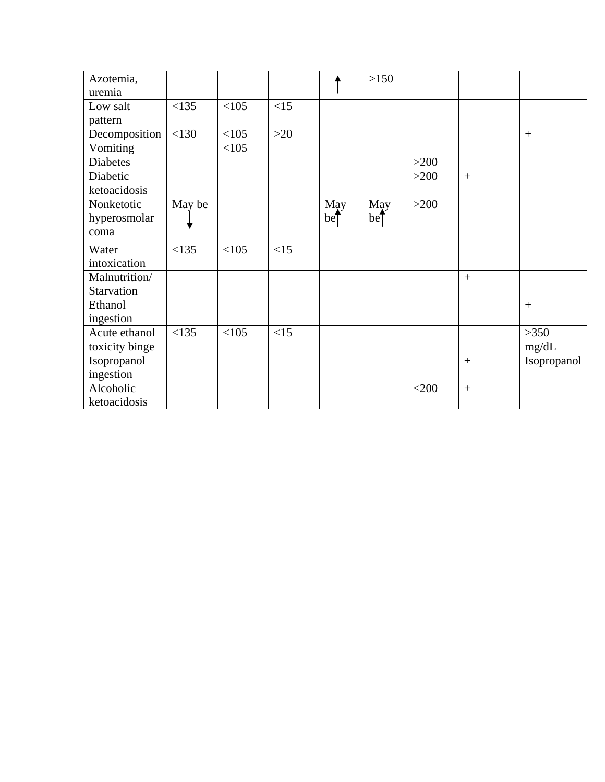| Azotemia,       |        |      |       |             | >150        |         |     |                 |
|-----------------|--------|------|-------|-------------|-------------|---------|-----|-----------------|
| uremia          |        |      |       |             |             |         |     |                 |
| Low salt        | <135   | <105 | <15   |             |             |         |     |                 |
| pattern         |        |      |       |             |             |         |     |                 |
| Decomposition   | < 130  | <105 | $>20$ |             |             |         |     | $\! + \!\!\!\!$ |
| Vomiting        |        | <105 |       |             |             |         |     |                 |
| <b>Diabetes</b> |        |      |       |             |             | $>200$  |     |                 |
| Diabetic        |        |      |       |             |             | $>200$  | $+$ |                 |
| ketoacidosis    |        |      |       |             |             |         |     |                 |
| Nonketotic      | May be |      |       | May         | May         | $>200$  |     |                 |
| hyperosmolar    |        |      |       | $be\bar{z}$ | $be\bar{b}$ |         |     |                 |
| coma            |        |      |       |             |             |         |     |                 |
| Water           | <135   | <105 | <15   |             |             |         |     |                 |
| intoxication    |        |      |       |             |             |         |     |                 |
| Malnutrition/   |        |      |       |             |             |         | $+$ |                 |
| Starvation      |        |      |       |             |             |         |     |                 |
| Ethanol         |        |      |       |             |             |         |     | $^{+}$          |
| ingestion       |        |      |       |             |             |         |     |                 |
| Acute ethanol   | <135   | <105 | <15   |             |             |         |     | >350            |
| toxicity binge  |        |      |       |             |             |         |     | mg/dL           |
| Isopropanol     |        |      |       |             |             |         | $+$ | Isopropanol     |
| ingestion       |        |      |       |             |             |         |     |                 |
| Alcoholic       |        |      |       |             |             | $<$ 200 | $+$ |                 |
| ketoacidosis    |        |      |       |             |             |         |     |                 |